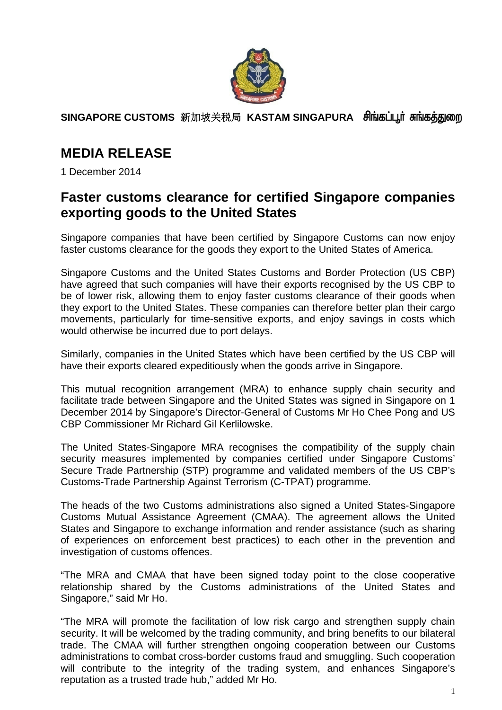

**SINGAPORE CUSTOMS** 新加坡关税局 **KASTAM SINGAPURA** 

## **MEDIA RELEASE**

1 December 2014

## **Faster customs clearance for certified Singapore companies exporting goods to the United States**

Singapore companies that have been certified by Singapore Customs can now enjoy faster customs clearance for the goods they export to the United States of America.

Singapore Customs and the United States Customs and Border Protection (US CBP) have agreed that such companies will have their exports recognised by the US CBP to be of lower risk, allowing them to enjoy faster customs clearance of their goods when they export to the United States. These companies can therefore better plan their cargo movements, particularly for time-sensitive exports, and enjoy savings in costs which would otherwise be incurred due to port delays.

Similarly, companies in the United States which have been certified by the US CBP will have their exports cleared expeditiously when the goods arrive in Singapore.

This mutual recognition arrangement (MRA) to enhance supply chain security and facilitate trade between Singapore and the United States was signed in Singapore on 1 December 2014 by Singapore's Director-General of Customs Mr Ho Chee Pong and US CBP Commissioner Mr Richard Gil Kerlilowske.

The United States-Singapore MRA recognises the compatibility of the supply chain security measures implemented by companies certified under Singapore Customs' Secure Trade Partnership (STP) programme and validated members of the US CBP's Customs-Trade Partnership Against Terrorism (C-TPAT) programme.

The heads of the two Customs administrations also signed a United States-Singapore Customs Mutual Assistance Agreement (CMAA). The agreement allows the United States and Singapore to exchange information and render assistance (such as sharing of experiences on enforcement best practices) to each other in the prevention and investigation of customs offences.

"The MRA and CMAA that have been signed today point to the close cooperative relationship shared by the Customs administrations of the United States and Singapore," said Mr Ho.

"The MRA will promote the facilitation of low risk cargo and strengthen supply chain security. It will be welcomed by the trading community, and bring benefits to our bilateral trade. The CMAA will further strengthen ongoing cooperation between our Customs administrations to combat cross-border customs fraud and smuggling. Such cooperation will contribute to the integrity of the trading system, and enhances Singapore's reputation as a trusted trade hub," added Mr Ho.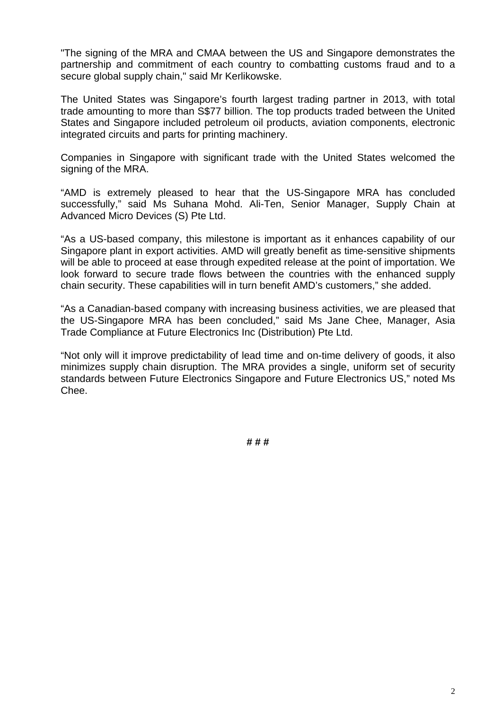"The signing of the MRA and CMAA between the US and Singapore demonstrates the partnership and commitment of each country to combatting customs fraud and to a secure global supply chain," said Mr Kerlikowske.

The United States was Singapore's fourth largest trading partner in 2013, with total trade amounting to more than S\$77 billion. The top products traded between the United States and Singapore included petroleum oil products, aviation components, electronic integrated circuits and parts for printing machinery.

Companies in Singapore with significant trade with the United States welcomed the signing of the MRA.

"AMD is extremely pleased to hear that the US-Singapore MRA has concluded successfully," said Ms Suhana Mohd. Ali-Ten, Senior Manager, Supply Chain at Advanced Micro Devices (S) Pte Ltd.

"As a US-based company, this milestone is important as it enhances capability of our Singapore plant in export activities. AMD will greatly benefit as time-sensitive shipments will be able to proceed at ease through expedited release at the point of importation. We look forward to secure trade flows between the countries with the enhanced supply chain security. These capabilities will in turn benefit AMD's customers," she added.

"As a Canadian-based company with increasing business activities, we are pleased that the US-Singapore MRA has been concluded," said Ms Jane Chee, Manager, Asia Trade Compliance at Future Electronics Inc (Distribution) Pte Ltd.

"Not only will it improve predictability of lead time and on-time delivery of goods, it also minimizes supply chain disruption. The MRA provides a single, uniform set of security standards between Future Electronics Singapore and Future Electronics US," noted Ms Chee.

**# # #**